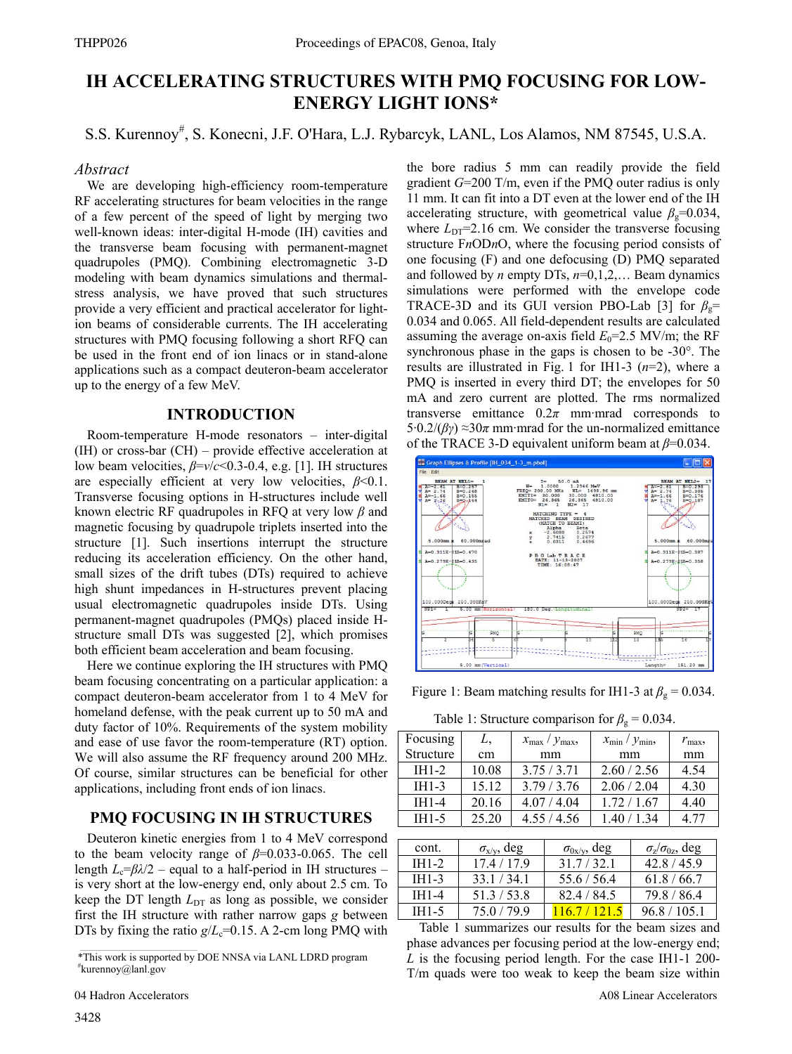# **IH ACCELERATING STRUCTURES WITH PMQ FOCUSING FOR LOW-ENERGY LIGHT IONS\***

S.S. Kurennoy# , S. Konecni, J.F. O'Hara, L.J. Rybarcyk, LANL, Los Alamos, NM 87545, U.S.A.

#### *Abstract*

We are developing high-efficiency room-temperature RF accelerating structures for beam velocities in the range of a few percent of the speed of light by merging two well-known ideas: inter-digital H-mode (IH) cavities and the transverse beam focusing with permanent-magnet quadrupoles (PMQ). Combining electromagnetic 3-D modeling with beam dynamics simulations and thermalstress analysis, we have proved that such structures provide a very efficient and practical accelerator for lightion beams of considerable currents. The IH accelerating structures with PMQ focusing following a short RFQ can be used in the front end of ion linacs or in stand-alone applications such as a compact deuteron-beam accelerator up to the energy of a few MeV.

## **INTRODUCTION**

Room-temperature H-mode resonators – inter-digital (IH) or cross-bar (CH) – provide effective acceleration at low beam velocities, *β*=*v*/*c*<0.3-0.4, e.g. [1]. IH structures are especially efficient at very low velocities, *β*<0.1. Transverse focusing options in H-structures include well known electric RF quadrupoles in RFQ at very low *β* and magnetic focusing by quadrupole triplets inserted into the structure [1]. Such insertions interrupt the structure reducing its acceleration efficiency. On the other hand, small sizes of the drift tubes (DTs) required to achieve high shunt impedances in H-structures prevent placing usual electromagnetic quadrupoles inside DTs. Using permanent-magnet quadrupoles (PMQs) placed inside Hstructure small DTs was suggested [2], which promises both efficient beam acceleration and beam focusing.

Here we continue exploring the IH structures with PMQ beam focusing concentrating on a particular application: a compact deuteron-beam accelerator from 1 to 4 MeV for homeland defense, with the peak current up to 50 mA and duty factor of 10%. Requirements of the system mobility and ease of use favor the room-temperature (RT) option. We will also assume the RF frequency around 200 MHz. Of course, similar structures can be beneficial for other applications, including front ends of ion linacs.

# **PMQ FOCUSING IN IH STRUCTURES**

Deuteron kinetic energies from 1 to 4 MeV correspond to the beam velocity range of *β*=0.033-0.065. The cell length  $L_c = \beta \lambda/2$  – equal to a half-period in IH structures – is very short at the low-energy end, only about 2.5 cm. To keep the DT length  $L_{DT}$  as long as possible, we consider first the IH structure with rather narrow gaps *g* between DTs by fixing the ratio  $g/L<sub>c</sub>=0.15$ . A 2-cm long PMQ with

\*This work is supported by DOE NNSA via LANL LDRD program # kurennoy@lanl.gov

the bore radius 5 mm can readily provide the field gradient *G*=200 T/m, even if the PMQ outer radius is only 11 mm. It can fit into a DT even at the lower end of the IH accelerating structure, with geometrical value  $\beta$ <sub>g</sub>=0.034, where  $L_{DT}$ =2.16 cm. We consider the transverse focusing structure F*n*OD*n*O, where the focusing period consists of one focusing (F) and one defocusing (D) PMQ separated and followed by *n* empty DTs, *n*=0,1,2,… Beam dynamics simulations were performed with the envelope code TRACE-3D and its GUI version PBO-Lab [3] for  $\beta$ <sub>g</sub>= 0.034 and 0.065. All field-dependent results are calculated assuming the average on-axis field  $E_0$ =2.5 MV/m; the RF synchronous phase in the gaps is chosen to be -30°. The results are illustrated in Fig. 1 for IH1-3 (*n*=2), where a PMQ is inserted in every third DT; the envelopes for 50 mA and zero current are plotted. The rms normalized transverse emittance  $0.2\pi$  mm·mrad corresponds to  $5.0.2/(\beta \gamma) \approx 30\pi$  mm·mrad for the un-normalized emittance of the TRACE 3-D equivalent uniform beam at *β*=0.034.



Figure 1: Beam matching results for IH1-3 at  $\beta_g = 0.034$ .

Table 1: Structure comparison for  $\beta_{\rm g} = 0.034$ .

| Focusing  | L,    | $x_{\text{max}}/y_{\text{max}}$ | $x_{\min} / y_{\min}$ | $r_{\rm max}$ |
|-----------|-------|---------------------------------|-----------------------|---------------|
| Structure | cm    | mm                              | mm                    | mm            |
| $IH1-2$   | 10.08 | 3.75/3.71                       | 2.60 / 2.56           | 4.54          |
| $IH1-3$   | 15.12 | 3.79/3.76                       | 2.06 / 2.04           | 4.30          |
| IH1-4     | 20.16 | 4.07 / 4.04                     | 172/167               | 4.40          |
| $IH1-5$   | 25.20 | 4.55 / 4.56                     | 1.40/1.34             | 4 77          |

| cont.             | $\sigma_{x/v}$ , deg | $\sigma_{0x/y}$ , deg | $\sigma_{\rm z}/\sigma_{\rm 0z}$ , deg |
|-------------------|----------------------|-----------------------|----------------------------------------|
| $IH1-2$           | 174/179              | 317/321               | 42 8 / 45 9                            |
| $IH1-3$           | 33 1 / 34 1          | 55.6/56.4             | 618/667                                |
| IH1-4             | 51.3 / 53.8          | 82.4/84.5             | 79.8 / 86.4                            |
| IH <sub>1-5</sub> | 75 0 / 79 9          |                       | 96.8/105.1                             |

Table 1 summarizes our results for the beam sizes and phase advances per focusing period at the low-energy end; *L* is the focusing period length. For the case IH1-1 200- T/m quads were too weak to keep the beam size within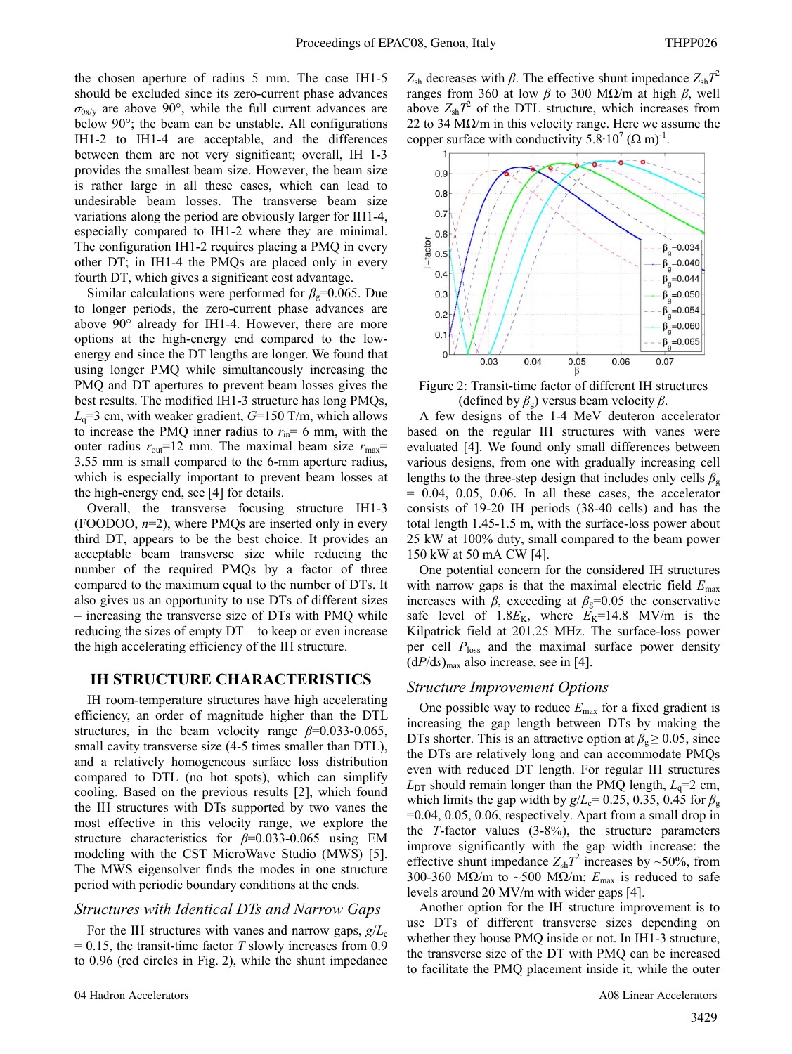the chosen aperture of radius 5 mm. The case IH1-5 should be excluded since its zero-current phase advances  $\sigma_{0x/v}$  are above 90°, while the full current advances are below 90°; the beam can be unstable. All configurations IH1-2 to IH1-4 are acceptable, and the differences between them are not very significant; overall, IH 1-3 provides the smallest beam size. However, the beam size is rather large in all these cases, which can lead to undesirable beam losses. The transverse beam size variations along the period are obviously larger for IH1-4, especially compared to IH1-2 where they are minimal. The configuration IH1-2 requires placing a PMQ in every other DT; in IH1-4 the PMQs are placed only in every fourth DT, which gives a significant cost advantage.

Similar calculations were performed for  $\beta$ <sub>g</sub>=0.065. Due to longer periods, the zero-current phase advances are above 90° already for IH1-4. However, there are more options at the high-energy end compared to the lowenergy end since the DT lengths are longer. We found that using longer PMQ while simultaneously increasing the PMQ and DT apertures to prevent beam losses gives the best results. The modified IH1-3 structure has long PMQs,  $L<sub>q</sub>=3$  cm, with weaker gradient,  $G=150$  T/m, which allows to increase the PMQ inner radius to  $r_{\text{in}}= 6$  mm, with the outer radius  $r_{\text{out}}$ =12 mm. The maximal beam size  $r_{\text{max}}$ = 3.55 mm is small compared to the 6-mm aperture radius, which is especially important to prevent beam losses at the high-energy end, see [4] for details.

Overall, the transverse focusing structure IH1-3 (FOODOO, *n*=2), where PMQs are inserted only in every third DT, appears to be the best choice. It provides an acceptable beam transverse size while reducing the number of the required PMQs by a factor of three compared to the maximum equal to the number of DTs. It also gives us an opportunity to use DTs of different sizes – increasing the transverse size of DTs with PMQ while reducing the sizes of empty DT – to keep or even increase the high accelerating efficiency of the IH structure.

## **IH STRUCTURE CHARACTERISTICS**

IH room-temperature structures have high accelerating efficiency, an order of magnitude higher than the DTL structures, in the beam velocity range  $\beta$ =0.033-0.065, small cavity transverse size  $(4-5)$  times smaller than DTL), and a relatively homogeneous surface loss distribution compared to DTL (no hot spots), which can simplify cooling. Based on the previous results [2], which found the IH structures with DTs supported by two vanes the most effective in this velocity range, we explore the structure characteristics for *β*=0.033-0.065 using EM modeling with the CST MicroWave Studio (MWS) [5]. The MWS eigensolver finds the modes in one structure period with periodic boundary conditions at the ends.

#### *Structures with Identical DTs and Narrow Gaps*

For the IH structures with vanes and narrow gaps,  $g/L_c$  $= 0.15$ , the transit-time factor *T* slowly increases from 0.9 to 0.96 (red circles in Fig. 2), while the shunt impedance

*Z*<sub>sh</sub> decreases with *β*. The effective shunt impedance  $Z_{sh}T^2$ ranges from 360 at low *β* to 300 MΩ/m at high *β*, well above  $Z_{\rm sh}T^2$  of the DTL structure, which increases from 22 to 34 M $\Omega/m$  in this velocity range. Here we assume the copper surface with conductivity  $5.8 \cdot 10^7 (\Omega \text{ m})^1$ .



Figure 2: Transit-time factor of different IH structures (defined by  $\beta_g$ ) versus beam velocity  $\beta$ .

A few designs of the 1-4 MeV deuteron accelerator based on the regular IH structures with vanes were evaluated [4]. We found only small differences between various designs, from one with gradually increasing cell lengths to the three-step design that includes only cells  $\beta_{g}$  $= 0.04, 0.05, 0.06$ . In all these cases, the accelerator consists of 19-20 IH periods (38-40 cells) and has the total length 1.45-1.5 m, with the surface-loss power about 25 kW at 100% duty, small compared to the beam power 150 kW at 50 mA CW [4].

One potential concern for the considered IH structures with narrow gaps is that the maximal electric field  $E_{\text{max}}$ increases with *β*, exceeding at  $\beta$ <sub>g</sub>=0.05 the conservative safe level of  $1.8E_K$ , where  $E_K$ =14.8 MV/m is the Kilpatrick field at 201.25 MHz. The surface-loss power per cell *P*loss and the maximal surface power density  $(dP/ds)_{\text{max}}$  also increase, see in [4].

## *Structure Improvement Options*

One possible way to reduce *E*max for a fixed gradient is increasing the gap length between DTs by making the DTs shorter. This is an attractive option at  $\beta_g \geq 0.05$ , since the DTs are relatively long and can accommodate PMQs even with reduced DT length. For regular IH structures  $L_{\text{DT}}$  should remain longer than the PMQ length,  $L_q=2$  cm, which limits the gap width by  $g/L<sub>c</sub>= 0.25, 0.35, 0.45$  for  $\beta<sub>g</sub>$ =0.04, 0.05, 0.06, respectively. Apart from a small drop in the *T*-factor values (3-8%), the structure parameters improve significantly with the gap width increase: the effective shunt impedance  $Z_{\text{sh}}T^2$  increases by ~50%, from 300-360 MΩ/m to ~500 MΩ/m;  $E_{\text{max}}$  is reduced to safe levels around 20 MV/m with wider gaps [4].

Another option for the IH structure improvement is to use DTs of different transverse sizes depending on whether they house PMQ inside or not. In IH1-3 structure, the transverse size of the DT with PMQ can be increased to facilitate the PMQ placement inside it, while the outer